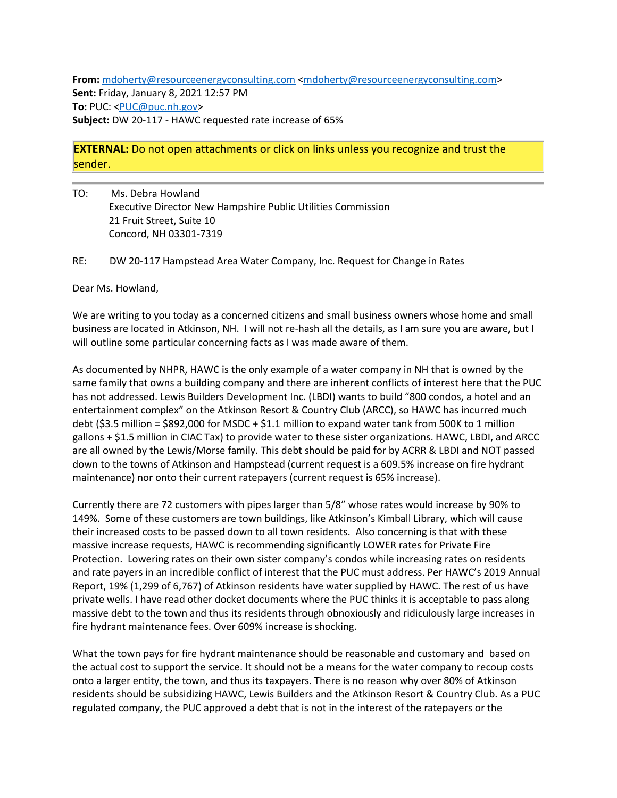**From:** [mdoherty@resourceenergyconsulting.com](mailto:mdoherty@resourceenergyconsulting.com) [<mdoherty@resourceenergyconsulting.com>](mailto:mdoherty@resourceenergyconsulting.com) **Sent:** Friday, January 8, 2021 12:57 PM **To:** PUC: [<PUC@puc.nh.gov>](mailto:PUC@puc.nh.gov) **Subject:** DW 20-117 - HAWC requested rate increase of 65%

## **EXTERNAL:** Do not open attachments or click on links unless you recognize and trust the sender.

TO: Ms. Debra Howland Executive Director New Hampshire Public Utilities Commission 21 Fruit Street, Suite 10 Concord, NH 03301-7319

RE: DW 20-117 Hampstead Area Water Company, Inc. Request for Change in Rates

Dear Ms. Howland,

We are writing to you today as a concerned citizens and small business owners whose home and small business are located in Atkinson, NH. I will not re-hash all the details, as I am sure you are aware, but I will outline some particular concerning facts as I was made aware of them.

As documented by NHPR, HAWC is the only example of a water company in NH that is owned by the same family that owns a building company and there are inherent conflicts of interest here that the PUC has not addressed. Lewis Builders Development Inc. (LBDI) wants to build "800 condos, a hotel and an entertainment complex" on the Atkinson Resort & Country Club (ARCC), so HAWC has incurred much debt (\$3.5 million = \$892,000 for MSDC + \$1.1 million to expand water tank from 500K to 1 million gallons + \$1.5 million in CIAC Tax) to provide water to these sister organizations. HAWC, LBDI, and ARCC are all owned by the Lewis/Morse family. This debt should be paid for by ACRR & LBDI and NOT passed down to the towns of Atkinson and Hampstead (current request is a 609.5% increase on fire hydrant maintenance) nor onto their current ratepayers (current request is 65% increase).

Currently there are 72 customers with pipes larger than 5/8" whose rates would increase by 90% to 149%. Some of these customers are town buildings, like Atkinson's Kimball Library, which will cause their increased costs to be passed down to all town residents. Also concerning is that with these massive increase requests, HAWC is recommending significantly LOWER rates for Private Fire Protection. Lowering rates on their own sister company's condos while increasing rates on residents and rate payers in an incredible conflict of interest that the PUC must address. Per HAWC's 2019 Annual Report, 19% (1,299 of 6,767) of Atkinson residents have water supplied by HAWC. The rest of us have private wells. I have read other docket documents where the PUC thinks it is acceptable to pass along massive debt to the town and thus its residents through obnoxiously and ridiculously large increases in fire hydrant maintenance fees. Over 609% increase is shocking.

What the town pays for fire hydrant maintenance should be reasonable and customary and based on the actual cost to support the service. It should not be a means for the water company to recoup costs onto a larger entity, the town, and thus its taxpayers. There is no reason why over 80% of Atkinson residents should be subsidizing HAWC, Lewis Builders and the Atkinson Resort & Country Club. As a PUC regulated company, the PUC approved a debt that is not in the interest of the ratepayers or the